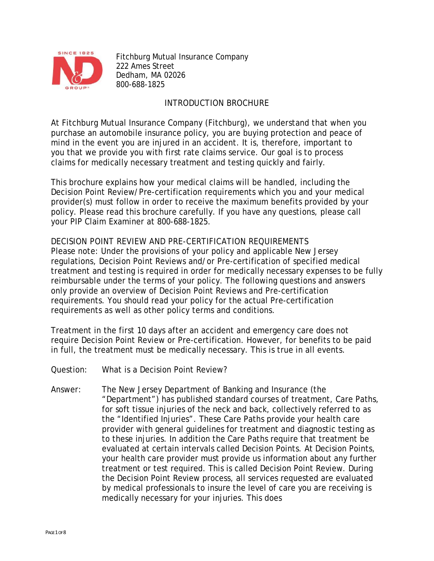

Fitchburg Mutual Insurance Company 222 Ames Street Dedham, MA 02026 800-688-1825

# INTRODUCTION BROCHURE

At Fitchburg Mutual Insurance Company (Fitchburg), we understand that when you purchase an automobile insurance policy, you are buying protection and peace of mind in the event you are injured in an accident. It is, therefore, important to you that we provide you with first rate claims service. Our goal is to process claims for medically necessary treatment and testing quickly and fairly.

This brochure explains how your medical claims will be handled, including the Decision Point Review/Pre-certification requirements which you and your medical provider(s) must follow in order to receive the maximum benefits provided by your policy. Please read this brochure carefully. If you have any questions, please call your PIP Claim Examiner at 800-688-1825.

DECISION POINT REVIEW AND PRE-CERTIFICATION REQUIREMENTS Please note: Under the provisions of your policy and applicable New Jersey regulations, Decision Point Reviews and/or Pre-certification of specified medical treatment and testing is required in order for medically necessary expenses to be fully reimbursable under the terms of your policy. The following questions and answers only provide an overview of Decision Point Reviews and Pre-certification requirements. You should read your policy for the actual Pre-certification requirements as well as other policy terms and conditions.

Treatment in the first 10 days after an accident and emergency care does not require Decision Point Review or Pre-certification. However, for benefits to be paid in full, the treatment must be medically necessary. This is true in all events.

- Question: What is a Decision Point Review?
- Answer: The New Jersey Department of Banking and Insurance (the "Department") has published standard courses of treatment, Care Paths, for soft tissue injuries of the neck and back, collectively referred to as the "Identified Injuries". These Care Paths provide your health care provider with general guidelines for treatment and diagnostic testing as to these injuries. In addition the Care Paths require that treatment be evaluated at certain intervals called Decision Points. At Decision Points, your health care provider must provide us information about any further treatment or test required. This is called Decision Point Review. During the Decision Point Review process, all services requested are evaluated by medical professionals to insure the level of care you are receiving is medically necessary for your injuries. This does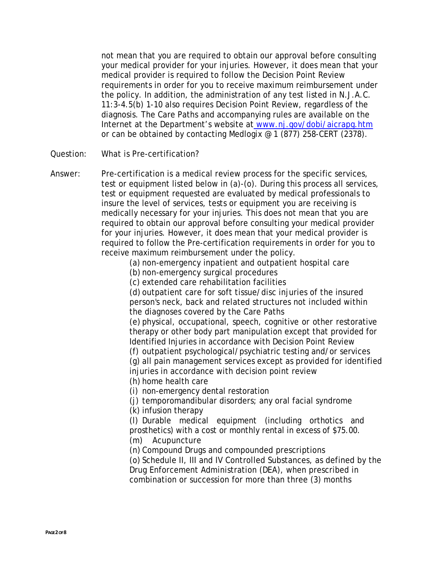not mean that you are required to obtain our approval before consulting your medical provider for your injuries. However, it does mean that your medical provider is required to follow the Decision Point Review requirements in order for you to receive maximum reimbursement under the policy. In addition, the administration of any test listed in N.J.A.C. 11:3-4.5(b) 1-10 also requires Decision Point Review, regardless of the diagnosis. The Care Paths and accompanying rules are available on the Internet at the Department's website at [www.nj.gov/dobi/aicrapg.htm](http://www.nj.gov/dobi/aicrapg.htm)  or can be obtained by contacting Medlogix @ 1 (877) 258-CERT (2378).

Question: What is Pre-certification?

Answer: Pre-certification is a medical review process for the specific services, test or equipment listed below in (a)-(o). During this process all services, test or equipment requested are evaluated by medical professionals to insure the level of services, tests or equipment you are receiving is medically necessary for your injuries. This does not mean that you are required to obtain our approval before consulting your medical provider for your injuries. However, it does mean that your medical provider is required to follow the Pre-certification requirements in order for you to receive maximum reimbursement under the policy.

(a) non-emergency inpatient and outpatient hospital care

(b) non-emergency surgical procedures

(c) extended care rehabilitation facilities

(d) outpatient care for soft tissue/disc injuries of the insured person's neck, back and related structures not included within the diagnoses covered by the Care Paths

(e) physical, occupational, speech, cognitive or other restorative therapy or other body part manipulation except that provided for Identified Injuries in accordance with Decision Point Review

(f) outpatient psychological/psychiatric testing and/or services

(g) all pain management services except as provided for identified injuries in accordance with decision point review

(h) home health care

(i) non-emergency dental restoration

(j) temporomandibular disorders; any oral facial syndrome

(k) infusion therapy

(l) Durable medical equipment (including orthotics and prosthetics) with a cost or monthly rental in excess of \$75.00. (m) Acupuncture

(n) Compound Drugs and compounded prescriptions

(o) Schedule II, III and IV Controlled Substances, as defined by the Drug Enforcement Administration (DEA), when prescribed in combination or succession for more than three (3) months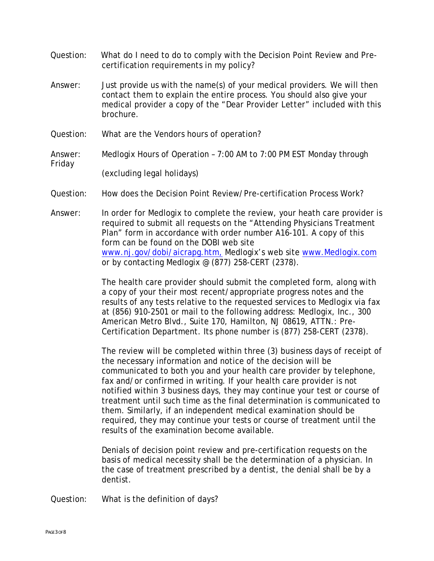- certification requirements in my policy? Question: What do I need to do to comply with the Decision Point Review and Pre-
- Answer: Just provide us with the name(s) of your medical providers. We will then contact them to explain the entire process. You should also give your medical provider a copy of the "*Dear Provider Letter*" included with this brochure.
- Question: What are the Vendors hours of operation?
- Answer: Medlogix Hours of Operation 7:00 AM to 7:00 PM EST Monday through Friday (excluding legal holidays)
- Question: How does the Decision Point Review/Pre-certification Process Work?
- Answer: In order for Medlogix to complete the review, your heath care provider is required to submit all requests on the "Attending Physicians Treatment Plan" form in accordance with order number A16-101. A copy of this form can be found on the DOBI web site [www.nj.gov/dobi/aicrapg.htm,](http://www.nj.gov/dobi/aicrapg.htm,) Medlogix's web site [www.Medlogix.](http://www.csg-inc.net/)com or by contacting Medlogix @ (877) 258-CERT (2378).

The health care provider should submit the completed form, along with a copy of your their most recent/appropriate progress notes and the results of any tests relative to the requested services to Medlogix via fax at (856) 910-2501 or mail to the following address: Medlogix, Inc., 300 American Metro Blvd., Suite 170, Hamilton, NJ 08619, ATTN.: Pre-Certification Department. Its phone number is (877) 258-CERT (2378).

The review will be completed within three (3) business days of receipt of the necessary information and notice of the decision will be communicated to both you and your health care provider by telephone, fax and/or confirmed in writing. If your health care provider is not notified within 3 business days, they may continue your test or course of treatment until such time as the final determination is communicated to them. Similarly, if an independent medical examination should be required, they may continue your tests or course of treatment until the results of the examination become available.

Denials of decision point review and pre-certification requests on the basis of medical necessity shall be the determination of a physician. In the case of treatment prescribed by a dentist, the denial shall be by a dentist.

Question: What is the definition of days?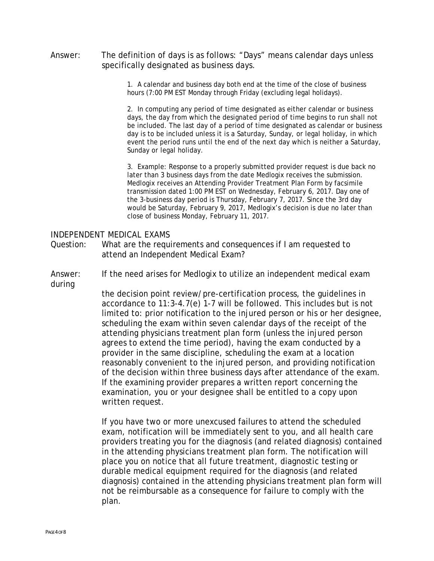specifically designated as business days. Answer: The definition of days is as follows: "Days" means calendar days unless

> 1. A calendar and business day both end at the time of the close of business hours (7:00 PM EST Monday through Friday (excluding legal holidays).

2. In computing any period of time designated as either calendar or business days, the day from which the designated period of time begins to run shall not be included. The last day of a period of time designated as calendar or business day is to be included unless it is a Saturday, Sunday, or legal holiday, in which event the period runs until the end of the next day which is neither a Saturday, Sunday or legal holiday.

3. Example: Response to a properly submitted provider request is due back no later than 3 business days from the date Medlogix receives the submission. Medlogix receives an Attending Provider Treatment Plan Form by facsimile transmission dated 1:00 PM EST on Wednesday, February 6, 2017. Day one of the 3-business day period is Thursday, February 7, 2017. Since the 3rd day would be Saturday, February 9, 2017, Medlogix's decision is due no later than close of business Monday, February 11, 2017.

#### INDEPENDENT MEDICAL EXAMS

- Question: What are the requirements and consequences if I am requested to attend an Independent Medical Exam?
- Answer: If the need arises for Medlogix to utilize an independent medical exam during

the decision point review/pre-certification process, the guidelines in accordance to 11:3-4.7(e) 1-7 will be followed. This includes but is not limited to: prior notification to the injured person or his or her designee, scheduling the exam within seven calendar days of the receipt of the attending physicians treatment plan form (unless the injured person agrees to extend the time period), having the exam conducted by a provider in the same discipline, scheduling the exam at a location reasonably convenient to the injured person, and providing notification of the decision within three business days after attendance of the exam. If the examining provider prepares a written report concerning the examination, you or your designee shall be entitled to a copy upon written request.

If you have two or more unexcused failures to attend the scheduled exam, notification will be immediately sent to you, and all health care providers treating you for the diagnosis (and related diagnosis) contained in the attending physicians treatment plan form. The notification will place you on notice that all future treatment, diagnostic testing or durable medical equipment required for the diagnosis (and related diagnosis) contained in the attending physicians treatment plan form will not be reimbursable as a consequence for failure to comply with the plan.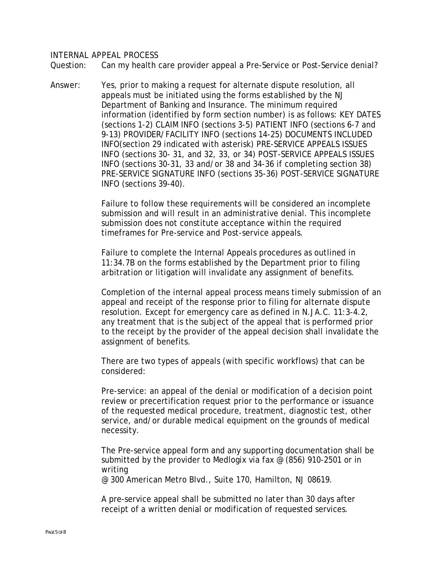#### INTERNAL APPEAL PROCESS

Question: Can my health care provider appeal a Pre-Service or Post-Service denial?

Answer: Yes, prior to making a request for alternate dispute resolution, all appeals must be initiated using the forms established by the NJ Department of Banking and Insurance. The minimum required information (identified by form section number) is as follows: KEY DATES (sections 1-2) CLAIM INFO (sections 3-5) PATIENT INFO (sections 6-7 and 9-13) PROVIDER/FACILITY INFO (sections 14-25) DOCUMENTS INCLUDED INFO(section 29 indicated with asterisk) PRE-SERVICE APPEALS ISSUES INFO (sections 30- 31, and 32, 33, or 34) POST-SERVICE APPEALS ISSUES INFO (sections 30-31, 33 and/or 38 and 34-36 if completing section 38) PRE-SERVICE SIGNATURE INFO (sections 35-36) POST-SERVICE SIGNATURE INFO (sections 39-40).

> Failure to follow these requirements will be considered an incomplete submission and will result in an administrative denial. This incomplete submission does not constitute acceptance within the required timeframes for Pre-service and Post-service appeals.

Failure to complete the Internal Appeals procedures as outlined in 11:34.7B on the forms established by the Department prior to filing arbitration or litigation will invalidate any assignment of benefits.

Completion of the internal appeal process means timely submission of an appeal and receipt of the response prior to filing for alternate dispute resolution. Except for emergency care as defined in N.JA.C. 11:3-4.2, any treatment that is the subject of the appeal that is performed prior to the receipt by the provider of the appeal decision shall invalidate the assignment of benefits.

There are two types of appeals (with specific workflows) that can be considered:

Pre-service: an appeal of the denial or modification of a decision point review or precertification request prior to the performance or issuance of the requested medical procedure, treatment, diagnostic test, other service, and/or durable medical equipment on the grounds of medical necessity.

The Pre-service appeal form and any supporting documentation shall be submitted by the provider to Medlogix via fax @ (856) 910-2501 or in writing

@ 300 American Metro Blvd., Suite 170, Hamilton, NJ 08619.

A pre-service appeal shall be submitted no later than 30 days after receipt of a written denial or modification of requested services.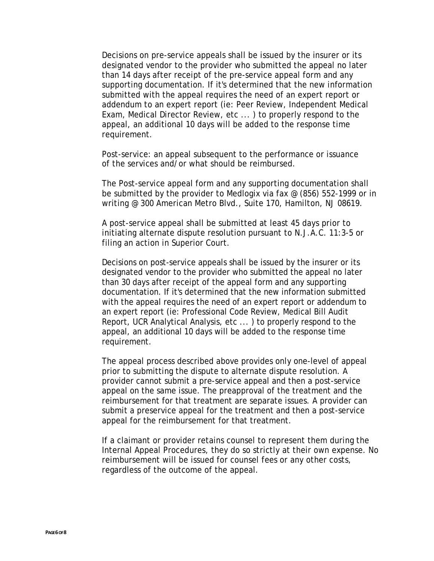Decisions on pre-service appeals shall be issued by the insurer or its designated vendor to the provider who submitted the appeal no later than 14 days after receipt of the pre-service appeal form and any supporting documentation. If it's determined that the new information submitted with the appeal requires the need of an expert report or addendum to an expert report (ie: Peer Review, Independent Medical Exam, Medical Director Review, etc ... ) to properly respond to the appeal, an additional 10 days will be added to the response time requirement.

Post-service: an appeal subsequent to the performance or issuance of the services and/or what should be reimbursed.

The Post-service appeal form and any supporting documentation shall be submitted by the provider to Medlogix via fax @ (856) 552-1999 or in writing @ 300 American Metro Blvd., Suite 170, Hamilton, NJ 08619.

A post-service appeal shall be submitted at least 45 days prior to initiating alternate dispute resolution pursuant to N.J.A.C. 11:3-5 or filing an action in Superior Court.

Decisions on post-service appeals shall be issued by the insurer or its designated vendor to the provider who submitted the appeal no later than 30 days after receipt of the appeal form and any supporting documentation. If it's determined that the new information submitted with the appeal requires the need of an expert report or addendum to an expert report (ie: Professional Code Review, Medical Bill Audit Report, UCR Analytical Analysis, etc ... ) to properly respond to the appeal, an additional 10 days will be added to the response time requirement.

The appeal process described above provides only one-level of appeal prior to submitting the dispute to alternate dispute resolution. A provider cannot submit a pre-service appeal and then a post-service appeal on the same issue. The preapproval of the treatment and the reimbursement for that treatment are separate issues. A provider can submit a preservice appeal for the treatment and then a post-service appeal for the reimbursement for that treatment.

If a claimant or provider retains counsel to represent them during the Internal Appeal Procedures, they do so strictly at their own expense. No reimbursement will be issued for counsel fees or any other costs, regardless of the outcome of the appeal.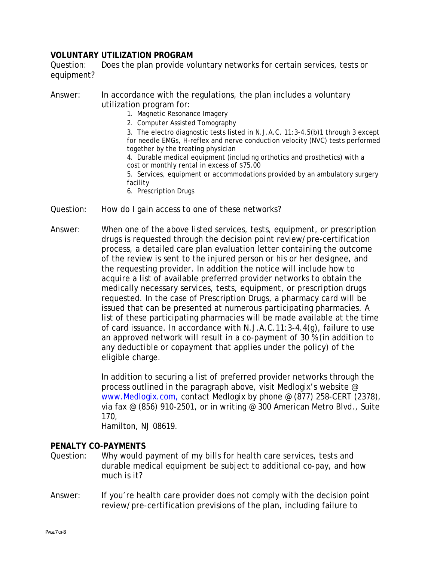## **VOLUNTARY UTILIZATION PROGRAM**

Question: Does the plan provide voluntary networks for certain services, tests or equipment?

- Answer: In accordance with the regulations, the plan includes a voluntary utilization program for:
	- 1. Magnetic Resonance Imagery
	- 2. Computer Assisted Tomography

3. The electro diagnostic tests listed in N.J.A.C. 11:3-4.5(b)1 through 3 except for needle EMGs, H-reflex and nerve conduction velocity (NVC) tests performed together by the treating physician

4. Durable medical equipment (including orthotics and prosthetics) with a cost or monthly rental in excess of \$75.00

5. Services, equipment or accommodations provided by an ambulatory surgery facility

- 6. Prescription Drugs
- Question: How do I gain access to one of these networks?
- Answer: When one of the above listed services, tests, equipment, or prescription drugs is requested through the decision point review/pre-certification process, a detailed care plan evaluation letter containing the outcome of the review is sent to the injured person or his or her designee, and the requesting provider. In addition the notice will include how to acquire a list of available preferred provider networks to obtain the medically necessary services, tests, equipment, or prescription drugs requested. In the case of Prescription Drugs, a pharmacy card will be issued that can be presented at numerous participating pharmacies. A list of these participating pharmacies will be made available at the time of card issuance. In accordance with N.J.A.C.11:3-4.4(g), failure to use an approved network will result in a co-payment of 30 % (in addition to any deductible or copayment that applies under the policy) of the eligible charge.

In addition to securing a list of preferred provider networks through the process outlined in the paragraph above, visit Medlogix's website @ www.Medlogix.com, contact Medlogix by phone @ (877) 258-CERT (2378), via fax @ (856) 910-2501, or in writing @ 300 American Metro Blvd., Suite 170,

Hamilton, NJ 08619.

### **PENALTY CO-PAYMENTS**

- Question: Why would payment of my bills for health care services, tests and durable medical equipment be subject to additional co-pay, and how much is it?
- Answer: If you're health care provider does not comply with the decision point review/pre-certification previsions of the plan, including failure to